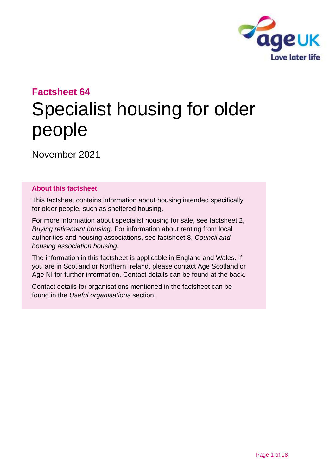

# **Factsheet 64** Specialist housing for older people

November 2021

#### **About this factsheet**

This factsheet contains information about housing intended specifically for older people, such as sheltered housing.

For more information about specialist housing for sale, see [factsheet 2,](https://www.ageuk.org.uk/globalassets/age-uk/documents/factsheets/fs2_buying_retirement_housing_fcs.pdf?dtrk=true)  *[Buying retirement housing](https://www.ageuk.org.uk/globalassets/age-uk/documents/factsheets/fs2_buying_retirement_housing_fcs.pdf?dtrk=true)*. For information about renting from local authorities and housing associations, see [factsheet 8,](https://www.ageuk.org.uk/globalassets/age-uk/documents/factsheets/fs8_council_and_housing_association_housing_fcs.pdf?dtrk=true) *Council and [housing association housing](https://www.ageuk.org.uk/globalassets/age-uk/documents/factsheets/fs8_council_and_housing_association_housing_fcs.pdf?dtrk=true)*.

The information in this factsheet is applicable in England and Wales. If you are in Scotland or Northern Ireland, please contact [Age Scotland or](#page-16-0)  [Age NI](#page-16-0) for further information. Contact details can be found at the back.

Contact details for organisations mentioned in the factsheet can be found in the *Useful [organisations](#page-14-0)* section.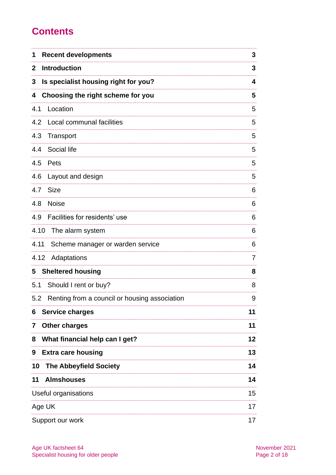# **Contents**

| <b>Recent developments</b><br>1                      | 3  |
|------------------------------------------------------|----|
| <b>Introduction</b><br>$\mathbf{2}$                  | 3  |
| Is specialist housing right for you?<br>3            | 4  |
| Choosing the right scheme for you<br>4               | 5  |
| 4.1<br>Location                                      | 5  |
| 4.2<br>Local communal facilities                     | 5  |
| 4.3<br>Transport                                     | 5  |
| Social life<br>4.4                                   | 5  |
| 4.5<br>Pets                                          | 5  |
| 4.6<br>Layout and design                             | 5  |
| <b>Size</b><br>4.7                                   | 6  |
| 4.8<br><b>Noise</b>                                  | 6  |
| Facilities for residents' use<br>4.9                 | 6  |
| 4.10<br>The alarm system                             | 6  |
| 4.11<br>Scheme manager or warden service             | 6  |
| 4.12<br>Adaptations                                  | 7  |
| <b>Sheltered housing</b><br>5                        | 8  |
| 5.1<br>Should I rent or buy?                         | 8  |
| Renting from a council or housing association<br>5.2 | 9  |
| <b>Service charges</b><br>6                          | 11 |
| <b>Other charges</b><br>7                            | 11 |
| What financial help can I get?<br>8                  | 12 |
| <b>Extra care housing</b><br>9                       | 13 |
| 10<br><b>The Abbeyfield Society</b>                  | 14 |
| <b>Almshouses</b><br>11                              | 14 |
| Useful organisations                                 | 15 |
| Age UK                                               | 17 |
| Support our work                                     | 17 |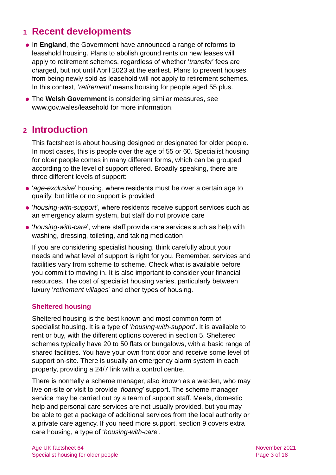### <span id="page-2-0"></span>**1 Recent developments**

- ⚫ In **England**, the Government have announced a range of reforms to leasehold housing. Plans to abolish ground rents on new leases will apply to retirement schemes, regardless of whether '*transfer*' fees are charged, but not until April 2023 at the earliest. Plans to prevent houses from being newly sold as leasehold will not apply to retirement schemes. In this context, '*retirement*' means housing for people aged 55 plus.
- ⚫ The **Welsh Government** is considering similar measures, see [www.gov.wales/leasehold](http://www.gov.wales/leasehold) for more information.

### <span id="page-2-1"></span>**2 Introduction**

This factsheet is about housing designed or designated for older people. In most cases, this is people over the age of 55 or 60. Specialist housing for older people comes in many different forms, which can be grouped according to the level of support offered. Broadly speaking, there are three different levels of support:

- ⚫ '*age-exclusive*' housing, where residents must be over a certain age to qualify, but little or no support is provided
- ⚫ '*housing-with-support*', where residents receive support services such as an emergency alarm system, but staff do not provide care
- ⚫ '*housing-with-care*', where staff provide care services such as help with washing, dressing, toileting, and taking medication

If you are considering specialist housing, think carefully about your needs and what level of support is right for you. Remember, services and facilities vary from scheme to scheme. Check what is available before you commit to moving in. It is also important to consider your financial resources. The cost of specialist housing varies, particularly between luxury '*retirement villages*' and other types of housing.

#### **Sheltered housing**

Sheltered housing is the best known and most common form of specialist housing. It is a type of '*housing-with-support*'. It is available to rent or buy, with the different options covered in [section 5.](#page-7-0) Sheltered schemes typically have 20 to 50 flats or bungalows, with a basic range of shared facilities. You have your own front door and receive some level of support on-site. There is usually an emergency alarm system in each property, providing a 24/7 link with a control centre.

There is normally a scheme manager, also known as a warden, who may live on-site or visit to provide '*floating*' support. The scheme manager service may be carried out by a team of support staff. Meals, domestic help and personal care services are not usually provided, but you may be able to get a package of additional services from the local authority or a private care agency. If you need more support, [section 9](#page-12-0) covers extra care housing, a type of '*housing-with-care*'.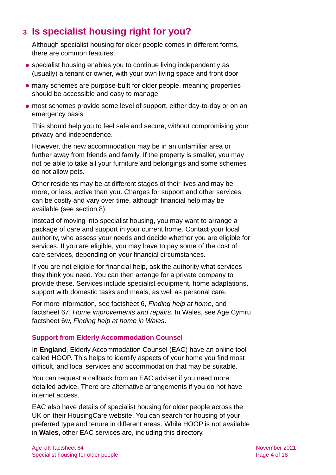# <span id="page-3-0"></span>**3 Is specialist housing right for you?**

Although specialist housing for older people comes in different forms, there are common features:

- ⚫ specialist housing enables you to continue living independently as (usually) a tenant or owner, with your own living space and front door
- ⚫ many schemes are purpose-built for older people, meaning properties should be accessible and easy to manage
- ⚫ most schemes provide some level of support, either day-to-day or on an emergency basis

This should help you to feel safe and secure, without compromising your privacy and independence.

However, the new accommodation may be in an unfamiliar area or further away from friends and family. If the property is smaller, you may not be able to take all your furniture and belongings and some schemes do not allow pets.

Other residents may be at different stages of their lives and may be more, or less, active than you. Charges for support and other services can be costly and vary over time, although financial help may be available (see [section 8\)](#page-11-0).

Instead of moving into specialist housing, you may want to arrange a package of care and support in your current home. Contact your local authority, who assess your needs and decide whether you are eligible for services. If you are eligible, you may have to pay some of the cost of care services, depending on your financial circumstances.

If you are not eligible for financial help, ask the authority what services they think you need. You can then arrange for a private company to provide these. Services include specialist equipment, home adaptations, support with domestic tasks and meals, as well as personal care.

For more information, see factsheet 6, *[Finding help at home](https://www.ageuk.org.uk/globalassets/age-uk/documents/factsheets/fs6_finding_help_at_home_fcs.pdf)*, and factsheet 67, *[Home improvements and repairs.](https://www.ageuk.org.uk/globalassets/age-uk/documents/factsheets/fs67_home_improvements_and_repairs_fcs.pdf)* In Wales, see [Age Cymru](http://www.ageuk.org.uk/Global/Age-Cymru/Factsheets%20and%20information%20guides/FS6w.pdf?dtrk=true)  [factsheet 6w](http://www.ageuk.org.uk/Global/Age-Cymru/Factsheets%20and%20information%20guides/FS6w.pdf?dtrk=true), *[Finding help at home in Wales](https://www.ageuk.org.uk/globalassets/age-cymru/documents/information-guides-and-factsheets/fs6w.pdf)*.

#### **Support from Elderly Accommodation Counsel**

In **England**, Elderly Accommodation Counsel (EAC) have an online tool called [HOOP.](https://hoop.eac.org.uk/hooptool/) This helps to identify aspects of your home you find most difficult, and local services and accommodation that may be suitable.

You can request a callback from an EAC adviser if you need more detailed advice. There are alternative arrangements if you do not have internet access.

EAC also have details of specialist housing for older people across the UK on their [HousingCare website.](https://housingcare.org/) You can search for housing of your preferred type and tenure in different areas. While HOOP is not available in **Wales**, other EAC services are, including this directory.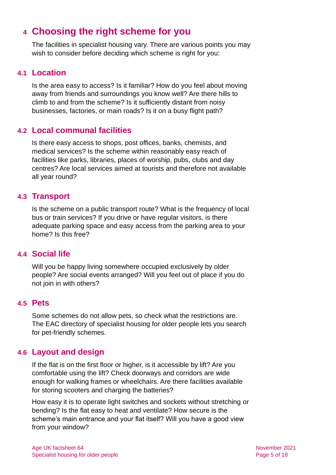### <span id="page-4-0"></span>**4 Choosing the right scheme for you**

The facilities in specialist housing vary. There are various points you may wish to consider before deciding which scheme is right for you:

#### **4.1 Location**

Is the area easy to access? Is it familiar? How do you feel about moving away from friends and surroundings you know well? Are there hills to climb to and from the scheme? Is it sufficiently distant from noisy businesses, factories, or main roads? Is it on a busy flight path?

#### **4.2 Local communal facilities**

Is there easy access to shops, post offices, banks, chemists, and medical services? Is the scheme within reasonably easy reach of facilities like parks, libraries, places of worship, pubs, clubs and day centres? Are local services aimed at tourists and therefore not available all year round?

### **4.3 Transport**

Is the scheme on a public transport route? What is the frequency of local bus or train services? If you drive or have regular visitors, is there adequate parking space and easy access from the parking area to your home? Is this free?

#### **4.4 Social life**

Will you be happy living somewhere occupied exclusively by older people? Are social events arranged? Will you feel out of place if you do not join in with others?

#### **4.5 Pets**

Some schemes do not allow pets, so check what the restrictions are. The [EAC](#page-14-1) directory of specialist housing for older people lets you search for pet-friendly schemes.

### **4.6 Layout and design**

If the flat is on the first floor or higher, is it accessible by lift? Are you comfortable using the lift? Check doorways and corridors are wide enough for walking frames or wheelchairs. Are there facilities available for storing scooters and charging the batteries?

How easy it is to operate light switches and sockets without stretching or bending? Is the flat easy to heat and ventilate? How secure is the scheme's main entrance and your flat itself? Will you have a good view from your window?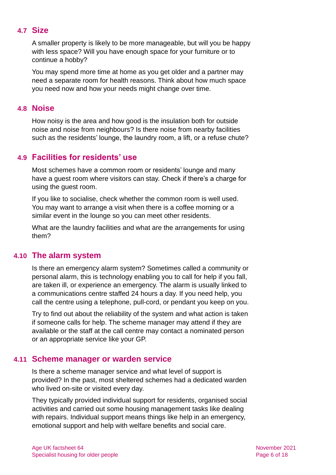#### **4.7 Size**

A smaller property is likely to be more manageable, but will you be happy with less space? Will you have enough space for your furniture or to continue a hobby?

You may spend more time at home as you get older and a partner may need a separate room for health reasons. Think about how much space you need now and how your needs might change over time.

#### **4.8 Noise**

How noisy is the area and how good is the insulation both for outside noise and noise from neighbours? Is there noise from nearby facilities such as the residents' lounge, the laundry room, a lift, or a refuse chute?

#### **4.9 Facilities for residents' use**

Most schemes have a common room or residents' lounge and many have a guest room where visitors can stay. Check if there's a charge for using the guest room.

If you like to socialise, check whether the common room is well used. You may want to arrange a visit when there is a coffee morning or a similar event in the lounge so you can meet other residents.

What are the laundry facilities and what are the arrangements for using them?

#### **4.10 The alarm system**

Is there an emergency alarm system? Sometimes called a community or personal alarm, this is technology enabling you to call for help if you fall, are taken ill, or experience an emergency. The alarm is usually linked to a communications centre staffed 24 hours a day. If you need help, you call the centre using a telephone, pull-cord, or pendant you keep on you.

Try to find out about the reliability of the system and what action is taken if someone calls for help. The scheme manager may attend if they are available or the staff at the call centre may contact a nominated person or an appropriate service like your GP.

#### **4.11 Scheme manager or warden service**

Is there a scheme manager service and what level of support is provided? In the past, most sheltered schemes had a dedicated warden who lived on-site or visited every day.

They typically provided individual support for residents, organised social activities and carried out some housing management tasks like dealing with repairs. Individual support means things like help in an emergency, emotional support and help with welfare benefits and social care.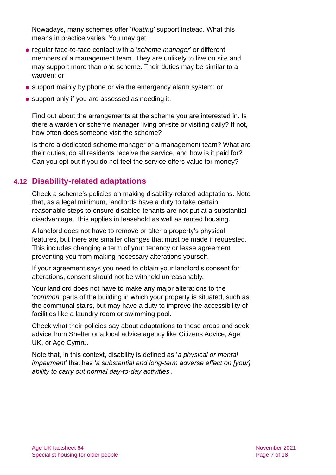Nowadays, many schemes offer '*floating*' support instead. What this means in practice varies. You may get:

- ⚫ regular face-to-face contact with a '*scheme manager*' or different members of a management team. They are unlikely to live on site and may support more than one scheme. Their duties may be similar to a warden; or
- ⚫ support mainly by phone or via the emergency alarm system; or
- support only if you are assessed as needing it.

Find out about the arrangements at the scheme you are interested in. Is there a warden or scheme manager living on-site or visiting daily? If not, how often does someone visit the scheme?

Is there a dedicated scheme manager or a management team? What are their duties, do all residents receive the service, and how is it paid for? Can you opt out if you do not feel the service offers value for money?

#### **4.12 Disability-related adaptations**

Check a scheme's policies on making disability-related adaptations. Note that, as a legal minimum, landlords have a duty to take certain reasonable steps to ensure disabled tenants are not put at a substantial disadvantage. This applies in leasehold as well as rented housing.

A landlord does not have to remove or alter a property's physical features, but there are smaller changes that must be made if requested. This includes changing a term of your tenancy or lease agreement preventing you from making necessary alterations yourself.

If your agreement says you need to obtain your landlord's consent for alterations, consent should not be withheld unreasonably.

Your landlord does not have to make any major alterations to the '*common*' parts of the building in which your property is situated, such as the communal stairs, but may have a duty to improve the accessibility of facilities like a laundry room or swimming pool.

Check what their policies say about adaptations to these areas and seek advice from [Shelter](https://www.shelter.org.uk/) or a local advice agency like [Citizens Advice,](https://www.citizensadvice.org.uk/) [Age](#page-16-1)  UK, or [Age Cymru.](#page-16-1)

Note that, in this context, disability is defined as '*a physical or mental impairment*' that has '*a substantial and long-term adverse effect on [your] ability to carry out normal day-to-day activities*'.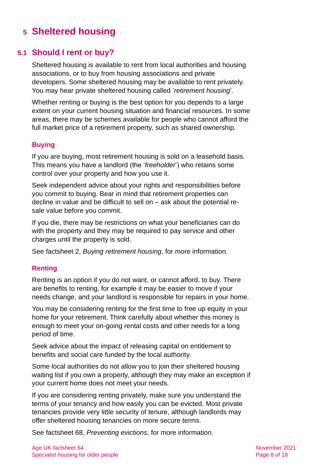# <span id="page-7-0"></span>**5 Sheltered housing**

### **5.1 Should I rent or buy?**

Sheltered housing is available to rent from local authorities and housing associations, or to buy from housing associations and private developers. Some sheltered housing may be available to rent privately. You may hear private sheltered housing called '*retirement housing*'.

Whether renting or buying is the best option for you depends to a large extent on your current housing situation and financial resources. In some areas, there may be schemes available for people who cannot afford the full market price of a retirement property, such as shared ownership.

#### **Buying**

If you are buying, most retirement housing is sold on a leasehold basis. This means you have a landlord (the '*freeholder*') who retains some control over your property and how you use it.

Seek independent advice about your rights and responsibilities before you commit to buying. Bear in mind that retirement properties can decline in value and be difficult to sell on – ask about the potential resale value before you commit.

If you die, there may be restrictions on what your beneficiaries can do with the property and they may be required to pay service and other charges until the property is sold.

See factsheet 2, *[Buying retirement housing](https://www.ageuk.org.uk/globalassets/age-uk/documents/factsheets/fs2_buying_retirement_housing_fcs.pdf)*, for more information.

#### **Renting**

Renting is an option if you do not want, or cannot afford, to buy. There are benefits to renting, for example it may be easier to move if your needs change, and your landlord is responsible for repairs in your home.

You may be considering renting for the first time to free up equity in your home for your retirement. Think carefully about whether this money is enough to meet your on-going rental costs and other needs for a long period of time.

Seek advice about the impact of releasing capital on entitlement to benefits and social care funded by the local authority.

Some local authorities do not allow you to join their sheltered housing waiting list if you own a property, although they may make an exception if your current home does not meet your needs.

If you are considering renting privately, make sure you understand the terms of your tenancy and how easily you can be evicted. Most private tenancies provide very little security of tenure, although landlords may offer sheltered housing tenancies on more secure terms.

See factsheet 68, *[Preventing evictions,](https://www.ageuk.org.uk/globalassets/age-uk/documents/factsheets/fs68_tenancy_rights_security_of_tenure_fcs.pdf)* for more information.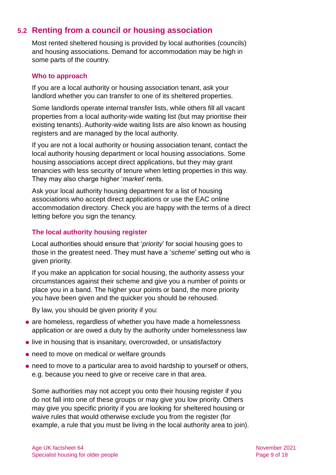### **5.2 Renting from a council or housing association**

Most rented sheltered housing is provided by local authorities (councils) and housing associations. Demand for accommodation may be high in some parts of the country.

#### **Who to approach**

If you are a local authority or housing association tenant, ask your landlord whether you can transfer to one of its sheltered properties.

Some landlords operate internal transfer lists, while others fill all vacant properties from a local authority-wide waiting list (but may prioritise their existing tenants). Authority-wide waiting lists are also known as housing registers and are managed by the local authority.

If you are not a local authority or housing association tenant, contact the local authority housing department or local housing associations. Some housing associations accept direct applications, but they may grant tenancies with less security of tenure when letting properties in this way. They may also charge higher '*market*' rents.

Ask your local authority housing department for a list of housing associations who accept direct applications or use the [EAC](#page-14-1) online accommodation directory. Check you are happy with the terms of a direct letting before you sign the tenancy.

#### **The local authority housing register**

Local authorities should ensure that '*priority*' for social housing goes to those in the greatest need. They must have a '*scheme*' setting out who is given priority.

If you make an application for social housing, the authority assess your circumstances against their scheme and give you a number of points or place you in a band. The higher your points or band, the more priority you have been given and the quicker you should be rehoused.

By law, you should be given priority if you:

- are homeless, regardless of whether you have made a homelessness application or are owed a duty by the authority under homelessness law
- live in housing that is insanitary, overcrowded, or unsatisfactory
- need to move on medical or welfare grounds
- need to move to a particular area to avoid hardship to yourself or others, e.g. because you need to give or receive care in that area.

Some authorities may not accept you onto their housing register if you do not fall into one of these groups or may give you low priority. Others may give you specific priority if you are looking for sheltered housing or waive rules that would otherwise exclude you from the register (for example, a rule that you must be living in the local authority area to join).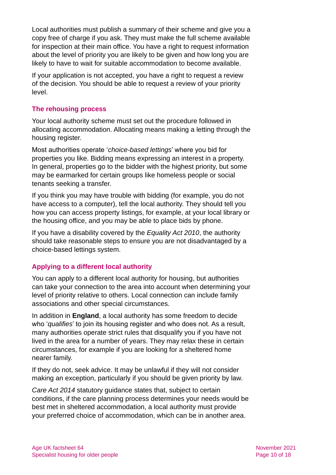Local authorities must publish a summary of their scheme and give you a copy free of charge if you ask. They must make the full scheme available for inspection at their main office. You have a right to request information about the level of priority you are likely to be given and how long you are likely to have to wait for suitable accommodation to become available.

If your application is not accepted, you have a right to request a review of the decision. You should be able to request a review of your priority level.

#### **The rehousing process**

Your local authority scheme must set out the procedure followed in allocating accommodation. Allocating means making a letting through the housing register.

Most authorities operate '*choice-based lettings*' where you bid for properties you like. Bidding means expressing an interest in a property. In general, properties go to the bidder with the highest priority, but some may be earmarked for certain groups like homeless people or social tenants seeking a transfer.

If you think you may have trouble with bidding (for example, you do not have access to a computer), tell the local authority. They should tell you how you can access property listings, for example, at your local library or the housing office, and you may be able to place bids by phone.

If you have a disability covered by the *[Equality Act 2010](https://www.equalityhumanrights.com/en/equality-act-2010/what-equality-act)*, the authority should take reasonable steps to ensure you are not disadvantaged by a choice-based lettings system.

#### **Applying to a different local authority**

You can apply to a different local authority for housing, but authorities can take your connection to the area into account when determining your level of priority relative to others. Local connection can include family associations and other special circumstances.

In addition in **England**, a local authority has some freedom to decide who '*qualifies*' to join its housing register and who does not. As a result, many authorities operate strict rules that disqualify you if you have not lived in the area for a number of years. They may relax these in certain circumstances, for example if you are looking for a sheltered home nearer family.

If they do not, seek advice. It may be unlawful if they will not consider making an exception, particularly if you should be given priority by law.

*Care Act 2014* statutory guidance states that, subject to certain conditions, if the care planning process determines your needs would be best met in sheltered accommodation, a local authority must provide your preferred choice of accommodation, which can be in another area.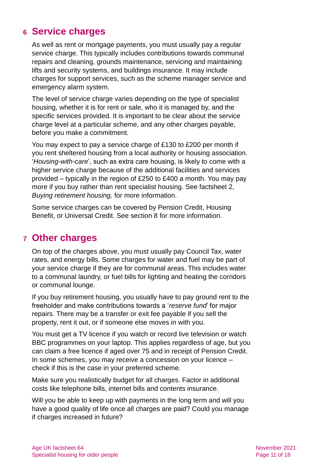### <span id="page-10-0"></span>**6 Service charges**

As well as rent or mortgage payments, you must usually pay a regular service charge. This typically includes contributions towards communal repairs and cleaning, grounds maintenance, servicing and maintaining lifts and security systems, and buildings insurance. It may include charges for support services, such as the scheme manager service and emergency alarm system.

The level of service charge varies depending on the type of specialist housing, whether it is for rent or sale, who it is managed by, and the specific services provided. It is important to be clear about the service charge level at a particular scheme, and any other charges payable, before you make a commitment.

You may expect to pay a service charge of £130 to £200 per month if you rent sheltered housing from a local authority or housing association. '*Housing-with-care*', such as extra care housing, is likely to come with a higher service charge because of the additional facilities and services provided – typically in the region of £250 to £400 a month. You may pay more if you buy rather than rent specialist housing. See factsheet 2, *[Buying retirement housing,](https://www.ageuk.org.uk/globalassets/age-uk/documents/factsheets/fs2_buying_retirement_housing_fcs.pdf)* for more information.

Some service charges can be covered by Pension Credit, Housing Benefit, or Universal Credit. See [section 8](#page-11-0) for more information.

### <span id="page-10-1"></span>**7 Other charges**

On top of the charges above, you must usually pay Council Tax, water rates, and energy bills. Some charges for water and fuel may be part of your service charge if they are for communal areas. This includes water to a communal laundry, or fuel bills for lighting and heating the corridors or communal lounge.

If you buy retirement housing, you usually have to pay ground rent to the freeholder and make contributions towards a '*reserve fund*' for major repairs. There may be a transfer or exit fee payable if you sell the property, rent it out, or if someone else moves in with you.

You must get a TV licence if you watch or record live television or watch BBC programmes on your laptop. This applies regardless of age, but you can claim a free licence if aged over 75 and in receipt of Pension Credit. In some schemes, you may receive a concession on your licence – check if this is the case in your preferred scheme.

Make sure you realistically budget for all charges. Factor in additional costs like telephone bills, internet bills and contents insurance.

Will you be able to keep up with payments in the long term and will you have a good quality of life once all charges are paid? Could you manage if charges increased in future?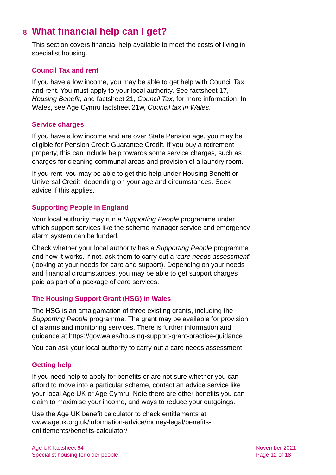# <span id="page-11-0"></span>**8 What financial help can I get?**

This section covers financial help available to meet the costs of living in specialist housing.

#### **Council Tax and rent**

If you have a low income, you may be able to get help with Council Tax and rent. You must apply to your local authority. See [factsheet 17,](https://www.ageuk.org.uk/globalassets/age-uk/documents/factsheets/fs17_housing_benefit_fcs.pdf)  *[Housing Benefit,](https://www.ageuk.org.uk/globalassets/age-uk/documents/factsheets/fs17_housing_benefit_fcs.pdf)* and [factsheet 21,](https://www.ageuk.org.uk/globalassets/age-uk/documents/factsheets/fs21_council_tax_fcs.pdf) *Council Tax,* for more information. In Wales, see [Age Cymru factsheet 21w](http://www.ageuk.org.uk/Global/Age-Cymru/Factsheets%20and%20information%20guides/FS21w.pdf?dtrk=true), *[Council tax in Wales](https://www.ageuk.org.uk/globalassets/age-cymru/documents/information-guides-and-factsheets/fs21w.pdf)*.

#### **Service charges**

If you have a low income and are over State Pension age, you may be eligible for Pension Credit Guarantee Credit. If you buy a retirement property, this can include help towards some service charges, such as charges for cleaning communal areas and provision of a laundry room.

If you rent, you may be able to get this help under Housing Benefit or Universal Credit, depending on your age and circumstances. Seek advice if this applies.

#### **Supporting People in England**

Your local authority may run a *Supporting People* programme under which support services like the scheme manager service and emergency alarm system can be funded.

Check whether your local authority has a *Supporting People* programme and how it works. If not, ask them to carry out a '*care needs assessment*' (looking at your needs for care and support). Depending on your needs and financial circumstances, you may be able to get support charges paid as part of a package of care services.

#### **The Housing Support Grant (HSG) in Wales**

The HSG is an amalgamation of three existing grants, including the *Supporting People* programme. The grant may be available for provision of alarms and monitoring services. There is further information and guidance at<https://gov.wales/housing-support-grant-practice-guidance>

You can ask your local authority to carry out a care needs assessment.

#### **Getting help**

If you need help to apply for benefits or are not sure whether you can afford to move into a particular scheme, contact an advice service like your local Age UK or Age Cymru. Note there are other benefits you can claim to maximise your income, and ways to reduce your outgoings.

Use the Age UK benefit calculator to check entitlements at [www.ageuk.org.uk/information-advice/money-legal/benefits](http://www.ageuk.org.uk/information-advice/money-legal/benefits-entitlements/benefits-calculator/)[entitlements/benefits-calculator/](http://www.ageuk.org.uk/information-advice/money-legal/benefits-entitlements/benefits-calculator/)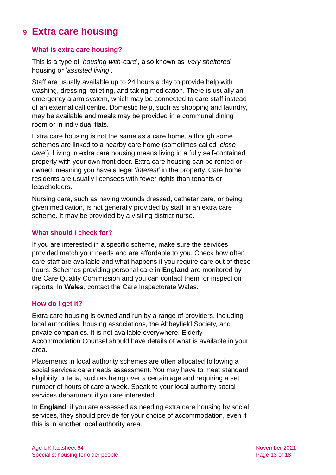### <span id="page-12-0"></span>**9 Extra care housing**

#### **What is extra care housing?**

This is a type of '*housing-with-care*', also known as '*very sheltered*' housing or '*assisted living*'.

Staff are usually available up to 24 hours a day to provide help with washing, dressing, toileting, and taking medication. There is usually an emergency alarm system, which may be connected to care staff instead of an external call centre. Domestic help, such as shopping and laundry, may be available and meals may be provided in a communal dining room or in individual flats.

Extra care housing is not the same as a care home, although some schemes are linked to a nearby care home (sometimes called '*close care*'). Living in extra care housing means living in a fully self-contained property with your own front door. Extra care housing can be rented or owned, meaning you have a legal '*interest*' in the property. Care home residents are usually licensees with fewer rights than tenants or leaseholders.

Nursing care, such as having wounds dressed, catheter care, or being given medication, is not generally provided by staff in an extra care scheme. It may be provided by a visiting district nurse.

#### **What should I check for?**

If you are interested in a specific scheme, make sure the services provided match your needs and are affordable to you. Check how often care staff are available and what happens if you require care out of these hours. Schemes providing personal care in **England** are monitored by the Care Quality Commission and you can contact them for inspection reports. In **Wales**, contact the Care Inspectorate Wales.

#### **How do I get it?**

Extra care housing is owned and run by a range of providers, including local authorities, housing associations, the Abbeyfield Society, and private companies. It is not available everywhere. [Elderly](http://www.eac.org.uk/)  [Accommodation Counsel](http://www.eac.org.uk/) should have details of what is available in your area.

Placements in local authority schemes are often allocated following a social services care needs assessment. You may have to meet standard eligibility criteria, such as being over a certain age and requiring a set number of hours of care a week. Speak to your local authority social services department if you are interested.

In **England**, if you are assessed as needing extra care housing by social services, they should provide for your choice of accommodation, even if this is in another local authority area.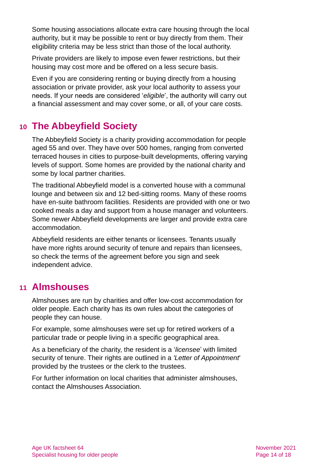Some housing associations allocate extra care housing through the local authority, but it may be possible to rent or buy directly from them. Their eligibility criteria may be less strict than those of the local authority.

Private providers are likely to impose even fewer restrictions, but their housing may cost more and be offered on a less secure basis.

Even if you are considering renting or buying directly from a housing association or private provider, ask your local authority to assess your needs. If your needs are considered '*eligible*', the authority will carry out a financial assessment and may cover some, or all, of your care costs.

### <span id="page-13-0"></span>**10 The Abbeyfield Society**

[The Abbeyfield Society](http://www.abbeyfield.com/) is a charity providing accommodation for people aged 55 and over. They have over 500 homes, ranging from converted terraced houses in cities to purpose-built developments, offering varying levels of support. Some homes are provided by the national charity and some by local partner charities.

The traditional Abbeyfield model is a converted house with a communal lounge and between six and 12 bed-sitting rooms. Many of these rooms have en-suite bathroom facilities. Residents are provided with one or two cooked meals a day and support from a house manager and volunteers. Some newer Abbeyfield developments are larger and provide extra care accommodation.

Abbeyfield residents are either tenants or licensees. Tenants usually have more rights around security of tenure and repairs than licensees, so check the terms of the agreement before you sign and seek independent advice.

### <span id="page-13-1"></span>**11 Almshouses**

Almshouses are run by charities and offer low-cost accommodation for older people. Each charity has its own rules about the categories of people they can house.

For example, some almshouses were set up for retired workers of a particular trade or people living in a specific geographical area.

As a beneficiary of the charity, the resident is a '*licensee*' with limited security of tenure. Their rights are outlined in a *'Letter of Appointment*' provided by the trustees or the clerk to the trustees.

For further information on local charities that administer almshouses, contact the [Almshouses Association.](http://www.almshouses.org/)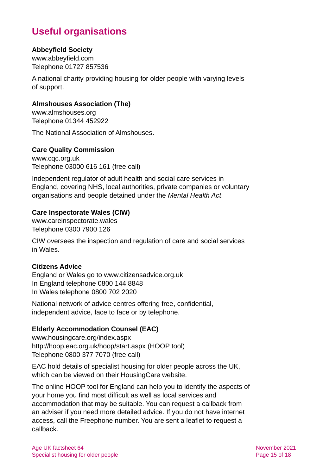# **Useful organisations**

#### <span id="page-14-0"></span>**Abbeyfield Society**

[www.abbeyfield.com](http://www.abbeyfield.com/) Telephone 01727 857536

A national charity providing housing for older people with varying levels of support.

#### **Almshouses Association (The)**

[www.almshouses.org](http://www.almshouses.org/) Telephone 01344 452922

The National Association of Almshouses.

#### **Care Quality Commission**

[www.cqc.org.uk](http://www.cqc.org.uk/) Telephone 03000 616 161 (free call)

Independent regulator of adult health and social care services in England, covering NHS, local authorities, private companies or voluntary organisations and people detained under the *Mental Health Act*.

#### **Care Inspectorate Wales (CIW)**

[www.careinspectorate.wales](http://www.careinspectorate.wales/) Telephone 0300 7900 126

CIW oversees the inspection and regulation of care and social services in Wales.

#### **Citizens Advice**

England or Wales go to [www.citizensadvice.org.uk](http://www.citizensadvice.org.uk/) In England telephone 0800 144 8848 In Wales telephone 0800 702 2020

National network of advice centres offering free, confidential, independent advice, face to face or by telephone.

#### <span id="page-14-1"></span>**Elderly Accommodation Counsel (EAC)**

[www.housingcare.org/index.aspx](http://www.housingcare.org/index.aspx) <http://hoop.eac.org.uk/hoop/start.aspx> (HOOP tool) Telephone 0800 377 7070 (free call)

EAC hold details of specialist housing for older people across the UK, which can be viewed on their HousingCare website.

The online HOOP tool for England can help you to identify the aspects of your home you find most difficult as well as local services and accommodation that may be suitable. You can request a callback from an adviser if you need more detailed advice. If you do not have internet access, call the Freephone number. You are sent a leaflet to request a callback.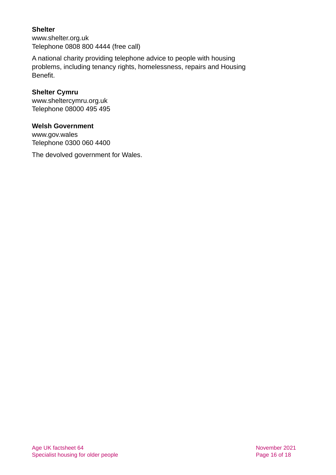#### **Shelter**

[www.shelter.org.uk](http://www.shelter.org.uk/) Telephone 0808 800 4444 (free call)

A national charity providing telephone advice to people with housing problems, including tenancy rights, homelessness, repairs and Housing Benefit.

#### **Shelter Cymru**

[www.sheltercymru.org.uk](http://www.sheltercymru.org.uk/) Telephone 08000 495 495

#### **Welsh Government**

[www.gov.wales](http://www.gov.wales/) Telephone 0300 060 4400

The devolved government for Wales.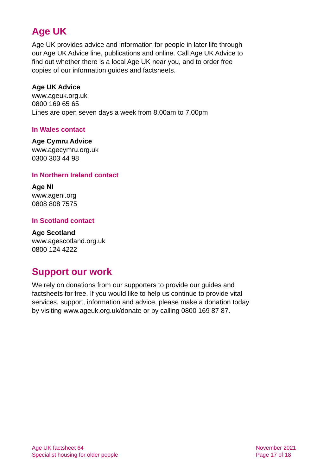# **Age UK**

Age UK provides advice and information for people in later life through our Age UK Advice line, publications and online. Call Age UK Advice to find out whether there is a local Age UK near you, and to order free copies of our information guides and factsheets.

#### <span id="page-16-1"></span>**Age UK Advice**

[www.ageuk.org.uk](http://www.ageuk.org.uk/) 0800 169 65 65 Lines are open seven days a week from 8.00am to 7.00pm

#### **In Wales contact**

#### **Age Cymru Advice**

[www.agecymru.org.uk](http://www.agecymru.org.uk/) 0300 303 44 98

#### <span id="page-16-0"></span>**In Northern Ireland contact**

**Age NI** [www.ageni.org](http://www.ageni.org/) 0808 808 7575

#### **In Scotland contact**

<span id="page-16-2"></span>**Age Scotland** [www.agescotland.org.uk](http://www.agescotland.org.uk/) 0800 124 4222

### **Support our work**

We rely on donations from our supporters to provide our guides and factsheets for free. If you would like to help us continue to provide vital services, support, information and advice, please make a donation today by visiting [www.ageuk.org.uk/donate](http://www.ageuk.org.uk/donate) or by calling 0800 169 87 87.